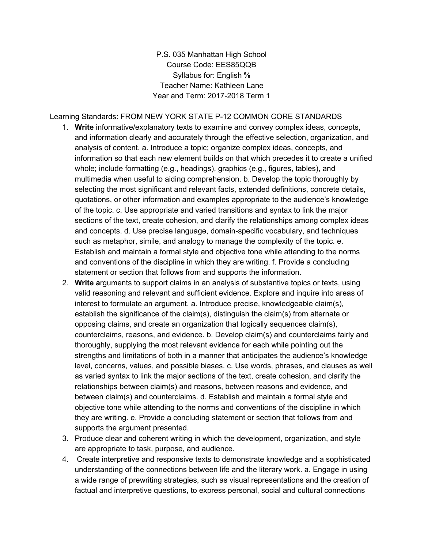P.S. 035 Manhattan High School Course Code: EES85QQB Syllabus for: English ⅝ Teacher Name: Kathleen Lane Year and Term: 2017-2018 Term 1

Learning Standards: FROM NEW YORK STATE P-12 COMMON CORE STANDARDS

- 1. **Write** informative/explanatory texts to examine and convey complex ideas, concepts, and information clearly and accurately through the effective selection, organization, and analysis of content. a. Introduce a topic; organize complex ideas, concepts, and information so that each new element builds on that which precedes it to create a unified whole; include formatting (e.g., headings), graphics (e.g., figures, tables), and multimedia when useful to aiding comprehension. b. Develop the topic thoroughly by selecting the most significant and relevant facts, extended definitions, concrete details, quotations, or other information and examples appropriate to the audience's knowledge of the topic. c. Use appropriate and varied transitions and syntax to link the major sections of the text, create cohesion, and clarify the relationships among complex ideas and concepts. d. Use precise language, domain-specific vocabulary, and techniques such as metaphor, simile, and analogy to manage the complexity of the topic. e. Establish and maintain a formal style and objective tone while attending to the norms and conventions of the discipline in which they are writing. f. Provide a concluding statement or section that follows from and supports the information.
- 2. **Write a**rguments to support claims in an analysis of substantive topics or texts, using valid reasoning and relevant and sufficient evidence. Explore and inquire into areas of interest to formulate an argument. a. Introduce precise, knowledgeable claim(s), establish the significance of the claim(s), distinguish the claim(s) from alternate or opposing claims, and create an organization that logically sequences claim(s), counterclaims, reasons, and evidence. b. Develop claim(s) and counterclaims fairly and thoroughly, supplying the most relevant evidence for each while pointing out the strengths and limitations of both in a manner that anticipates the audience's knowledge level, concerns, values, and possible biases. c. Use words, phrases, and clauses as well as varied syntax to link the major sections of the text, create cohesion, and clarify the relationships between claim(s) and reasons, between reasons and evidence, and between claim(s) and counterclaims. d. Establish and maintain a formal style and objective tone while attending to the norms and conventions of the discipline in which they are writing. e. Provide a concluding statement or section that follows from and supports the argument presented.
- 3. Produce clear and coherent writing in which the development, organization, and style are appropriate to task, purpose, and audience.
- 4. Create interpretive and responsive texts to demonstrate knowledge and a sophisticated understanding of the connections between life and the literary work. a. Engage in using a wide range of prewriting strategies, such as visual representations and the creation of factual and interpretive questions, to express personal, social and cultural connections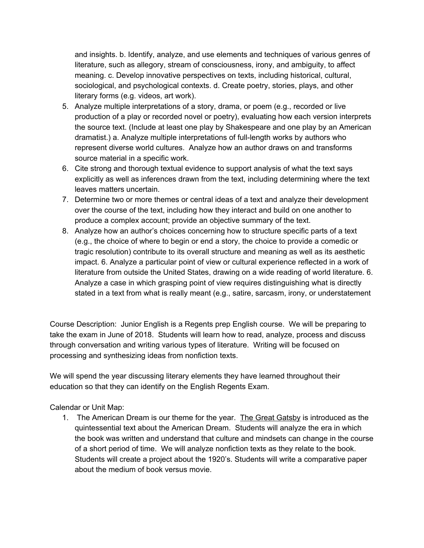and insights. b. Identify, analyze, and use elements and techniques of various genres of literature, such as allegory, stream of consciousness, irony, and ambiguity, to affect meaning. c. Develop innovative perspectives on texts, including historical, cultural, sociological, and psychological contexts. d. Create poetry, stories, plays, and other literary forms (e.g. videos, art work).

- 5. Analyze multiple interpretations of a story, drama, or poem (e.g., recorded or live production of a play or recorded novel or poetry), evaluating how each version interprets the source text. (Include at least one play by Shakespeare and one play by an American dramatist.) a. Analyze multiple interpretations of full-length works by authors who represent diverse world cultures. Analyze how an author draws on and transforms source material in a specific work.
- 6. Cite strong and thorough textual evidence to support analysis of what the text says explicitly as well as inferences drawn from the text, including determining where the text leaves matters uncertain.
- 7. Determine two or more themes or central ideas of a text and analyze their development over the course of the text, including how they interact and build on one another to produce a complex account; provide an objective summary of the text.
- 8. Analyze how an author's choices concerning how to structure specific parts of a text (e.g., the choice of where to begin or end a story, the choice to provide a comedic or tragic resolution) contribute to its overall structure and meaning as well as its aesthetic impact. 6. Analyze a particular point of view or cultural experience reflected in a work of literature from outside the United States, drawing on a wide reading of world literature. 6. Analyze a case in which grasping point of view requires distinguishing what is directly stated in a text from what is really meant (e.g., satire, sarcasm, irony, or understatement

Course Description: Junior English is a Regents prep English course. We will be preparing to take the exam in June of 2018. Students will learn how to read, analyze, process and discuss through conversation and writing various types of literature. Writing will be focused on processing and synthesizing ideas from nonfiction texts.

We will spend the year discussing literary elements they have learned throughout their education so that they can identify on the English Regents Exam.

Calendar or Unit Map:

1. The American Dream is our theme for the year. The Great Gatsby is introduced as the quintessential text about the American Dream. Students will analyze the era in which the book was written and understand that culture and mindsets can change in the course of a short period of time. We will analyze nonfiction texts as they relate to the book. Students will create a project about the 1920's. Students will write a comparative paper about the medium of book versus movie.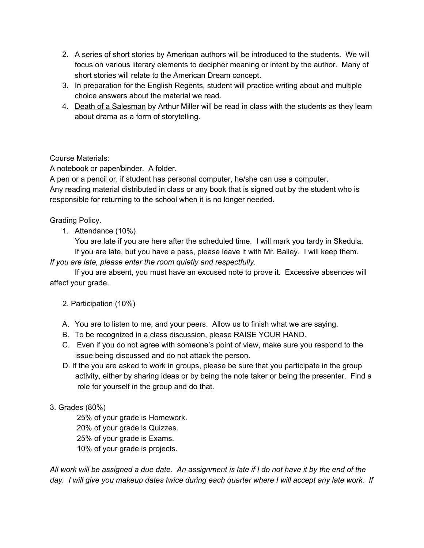- 2. A series of short stories by American authors will be introduced to the students. We will focus on various literary elements to decipher meaning or intent by the author. Many of short stories will relate to the American Dream concept.
- 3. In preparation for the English Regents, student will practice writing about and multiple choice answers about the material we read.
- 4. Death of a Salesman by Arthur Miller will be read in class with the students as they learn about drama as a form of storytelling.

Course Materials:

A notebook or paper/binder. A folder.

A pen or a pencil or, if student has personal computer, he/she can use a computer. Any reading material distributed in class or any book that is signed out by the student who is responsible for returning to the school when it is no longer needed.

Grading Policy.

1. Attendance (10%)

You are late if you are here after the scheduled time. I will mark you tardy in Skedula. If you are late, but you have a pass, please leave it with Mr. Bailey. I will keep them.

*If you are late, please enter the room quietly and respectfully.*

If you are absent, you must have an excused note to prove it. Excessive absences will affect your grade.

## 2. Participation (10%)

- A. You are to listen to me, and your peers. Allow us to finish what we are saying.
- B. To be recognized in a class discussion, please RAISE YOUR HAND.
- C. Even if you do not agree with someone's point of view, make sure you respond to the issue being discussed and do not attack the person.
- D. If the you are asked to work in groups, please be sure that you participate in the group activity, either by sharing ideas or by being the note taker or being the presenter. Find a role for yourself in the group and do that.

## 3. Grades (80%)

25% of your grade is Homework. 20% of your grade is Quizzes. 25% of your grade is Exams. 10% of your grade is projects.

All work will be assigned a due date. An assignment is late if I do not have it by the end of the day. I will give you makeup dates twice during each quarter where I will accept any late work. If